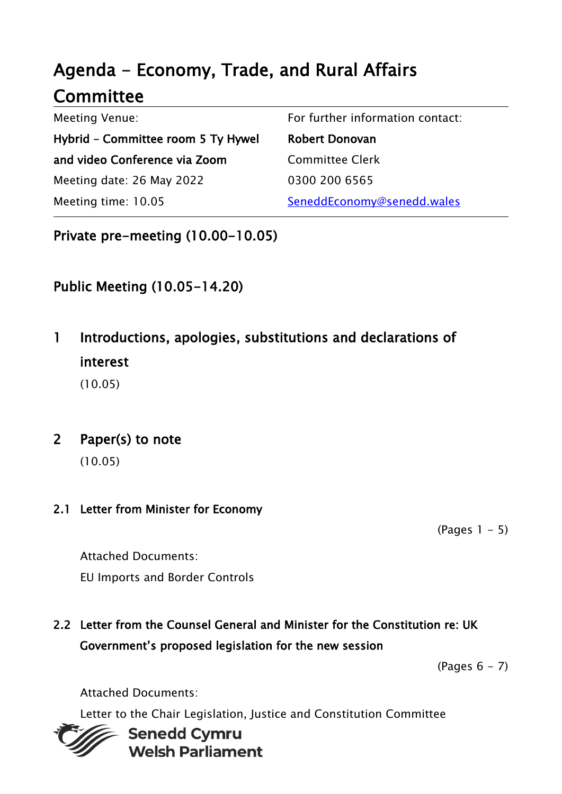# Agenda - Economy, Trade, and Rural Affairs **Committee**

| <b>Meeting Venue:</b>              | For further information contact: |
|------------------------------------|----------------------------------|
| Hybrid - Committee room 5 Ty Hywel | <b>Robert Donovan</b>            |
| and video Conference via Zoom      | <b>Committee Clerk</b>           |
| Meeting date: 26 May 2022          | 0300 200 6565                    |
| Meeting time: 10.05                | SeneddEconomy@senedd.wales       |

Private pre-meeting (10.00-10.05)

### Public Meeting (10.05-14.20)

1 Introductions, apologies, substitutions and declarations of interest

(10.05)

#### 2 Paper(s) to note

(10.05)

#### 2.1 Letter from Minister for Economy

 $(Pages 1 - 5)$ 

Attached Documents: EU Imports and Border Controls

### 2.2 Letter from the Counsel General and Minister for the Constitution re: UK Government's proposed legislation for the new session

 $(Pa$ ges  $6 - 7)$ 

Attached Documents:

Letter to the Chair Legislation, Justice and Constitution Committee



**Senedd Cymru Welsh Parliament**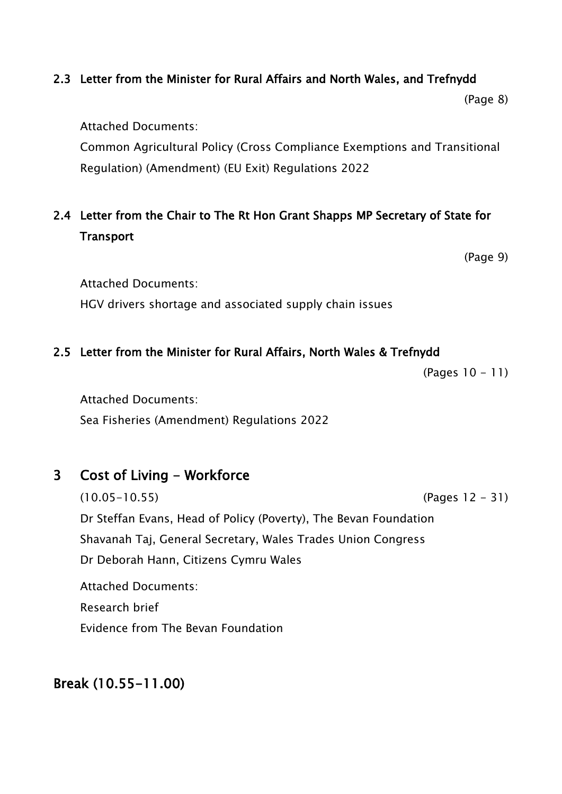#### 2.3 Letter from the Minister for Rural Affairs and North Wales, and Trefnydd

(Page 8)

Attached Documents:

Common Agricultural Policy (Cross Compliance Exemptions and Transitional Regulation) (Amendment) (EU Exit) Regulations 2022

### 2.4 Letter from the Chair to The Rt Hon Grant Shapps MP Secretary of State for **Transport**

(Page 9)

Attached Documents:

HGV drivers shortage and associated supply chain issues

#### 2.5 Letter from the Minister for Rural Affairs, North Wales & Trefnydd

(Pages 10 - 11)

Attached Documents:

Sea Fisheries (Amendment) Regulations 2022

#### 3 Cost of Living - Workforce

(10.05-10.55) (Pages 12 - 31) Dr Steffan Evans, Head of Policy (Poverty), The Bevan Foundation Shavanah Taj, General Secretary, Wales Trades Union Congress Dr Deborah Hann, Citizens Cymru Wales Attached Documents: Research brief Evidence from The Bevan Foundation

### Break (10.55-11.00)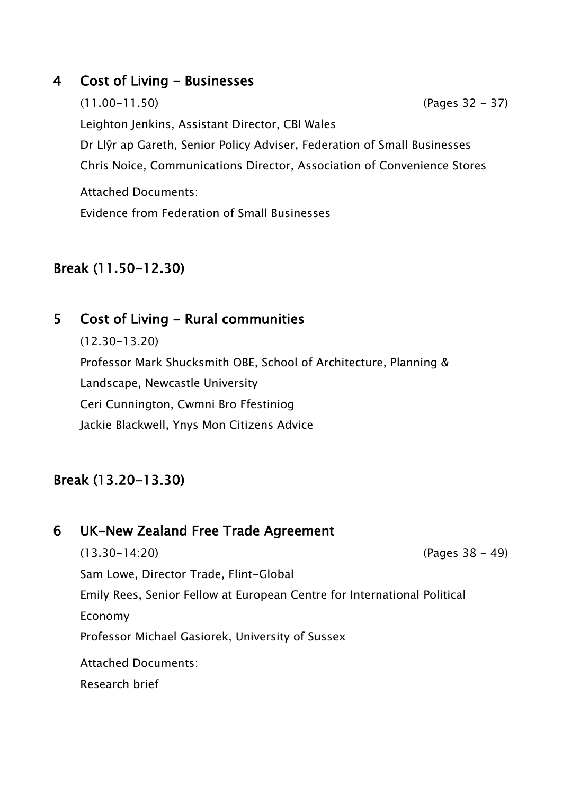#### 4 Cost of Living - Businesses

(11.00-11.50) (Pages 32 - 37) Leighton Jenkins, Assistant Director, CBI Wales Dr Llŷr ap Gareth, Senior Policy Adviser, Federation of Small Businesses Chris Noice, Communications Director, Association of Convenience Stores

Attached Documents: Evidence from Federation of Small Businesses

#### Break (11.50-12.30)

#### 5 Cost of Living - Rural communities

(12.30-13.20) Professor Mark Shucksmith OBE, School of Architecture, Planning & Landscape, Newcastle University Ceri Cunnington, Cwmni Bro Ffestiniog Jackie Blackwell, Ynys Mon Citizens Advice

#### Break (13.20-13.30)

### 6 UK-New Zealand Free Trade Agreement

(13.30-14:20) (Pages 38 - 49) Sam Lowe, Director Trade, Flint-Global Emily Rees, Senior Fellow at European Centre for International Political Economy Professor Michael Gasiorek, University of Sussex Attached Documents: Research brief